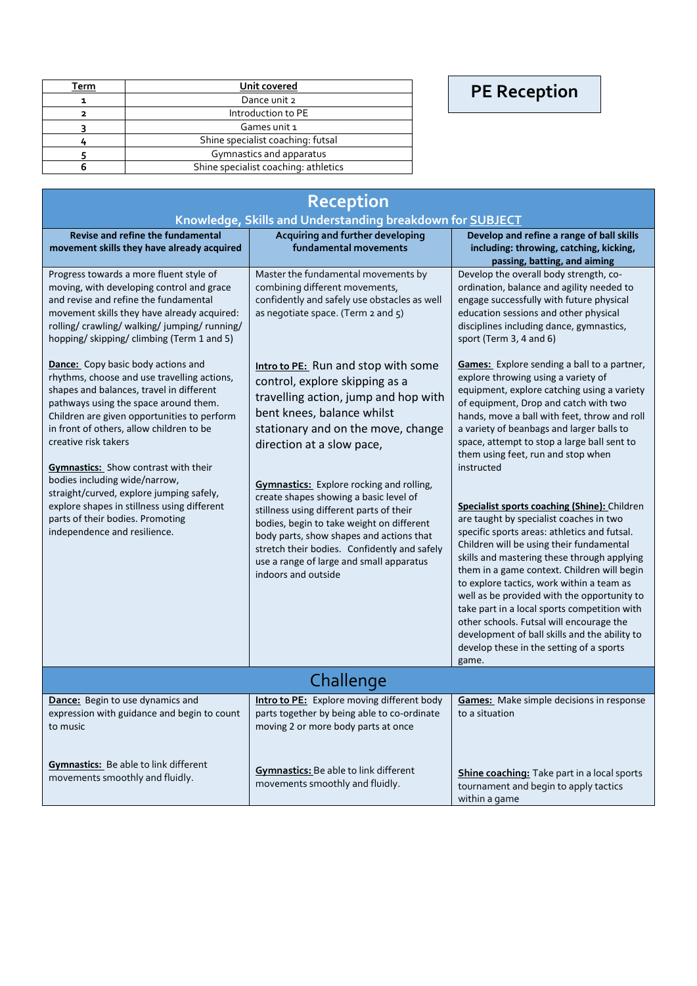## **PE Reception**

| Term | Unit covered                         |  |
|------|--------------------------------------|--|
|      | Dance unit 2                         |  |
|      | Introduction to PE                   |  |
|      | Games unit 1                         |  |
|      | Shine specialist coaching: futsal    |  |
|      | Gymnastics and apparatus             |  |
|      | Shine specialist coaching: athletics |  |

| Reception                                                                                                                                                                                                                                                                                                                                                                                                                                                                                                                                       |                                                                                                                                                                                                                                                                                                                                                                                                                                                                                                                                                              |                                                                                                                                                                                                                                                                                                                                                                                                                                                                                                                                                                                                                                                                                                                                                                                                                                                                       |  |
|-------------------------------------------------------------------------------------------------------------------------------------------------------------------------------------------------------------------------------------------------------------------------------------------------------------------------------------------------------------------------------------------------------------------------------------------------------------------------------------------------------------------------------------------------|--------------------------------------------------------------------------------------------------------------------------------------------------------------------------------------------------------------------------------------------------------------------------------------------------------------------------------------------------------------------------------------------------------------------------------------------------------------------------------------------------------------------------------------------------------------|-----------------------------------------------------------------------------------------------------------------------------------------------------------------------------------------------------------------------------------------------------------------------------------------------------------------------------------------------------------------------------------------------------------------------------------------------------------------------------------------------------------------------------------------------------------------------------------------------------------------------------------------------------------------------------------------------------------------------------------------------------------------------------------------------------------------------------------------------------------------------|--|
|                                                                                                                                                                                                                                                                                                                                                                                                                                                                                                                                                 | Knowledge, Skills and Understanding breakdown for SUBJECT                                                                                                                                                                                                                                                                                                                                                                                                                                                                                                    |                                                                                                                                                                                                                                                                                                                                                                                                                                                                                                                                                                                                                                                                                                                                                                                                                                                                       |  |
| Revise and refine the fundamental<br>movement skills they have already acquired                                                                                                                                                                                                                                                                                                                                                                                                                                                                 | Acquiring and further developing<br>fundamental movements                                                                                                                                                                                                                                                                                                                                                                                                                                                                                                    | Develop and refine a range of ball skills<br>including: throwing, catching, kicking,<br>passing, batting, and aiming                                                                                                                                                                                                                                                                                                                                                                                                                                                                                                                                                                                                                                                                                                                                                  |  |
| Progress towards a more fluent style of<br>moving, with developing control and grace<br>and revise and refine the fundamental<br>movement skills they have already acquired:<br>rolling/ crawling/ walking/ jumping/ running/<br>hopping/ skipping/ climbing (Term 1 and 5)                                                                                                                                                                                                                                                                     | Master the fundamental movements by<br>combining different movements,<br>confidently and safely use obstacles as well<br>as negotiate space. (Term 2 and 5)                                                                                                                                                                                                                                                                                                                                                                                                  | Develop the overall body strength, co-<br>ordination, balance and agility needed to<br>engage successfully with future physical<br>education sessions and other physical<br>disciplines including dance, gymnastics,<br>sport (Term 3, 4 and 6)                                                                                                                                                                                                                                                                                                                                                                                                                                                                                                                                                                                                                       |  |
| <b>Dance:</b> Copy basic body actions and<br>rhythms, choose and use travelling actions,<br>shapes and balances, travel in different<br>pathways using the space around them.<br>Children are given opportunities to perform<br>in front of others, allow children to be<br>creative risk takers<br><b>Gymnastics:</b> Show contrast with their<br>bodies including wide/narrow,<br>straight/curved, explore jumping safely,<br>explore shapes in stillness using different<br>parts of their bodies. Promoting<br>independence and resilience. | Intro to PE: Run and stop with some<br>control, explore skipping as a<br>travelling action, jump and hop with<br>bent knees, balance whilst<br>stationary and on the move, change<br>direction at a slow pace,<br>Gymnastics: Explore rocking and rolling,<br>create shapes showing a basic level of<br>stillness using different parts of their<br>bodies, begin to take weight on different<br>body parts, show shapes and actions that<br>stretch their bodies. Confidently and safely<br>use a range of large and small apparatus<br>indoors and outside | <b>Games:</b> Explore sending a ball to a partner,<br>explore throwing using a variety of<br>equipment, explore catching using a variety<br>of equipment, Drop and catch with two<br>hands, move a ball with feet, throw and roll<br>a variety of beanbags and larger balls to<br>space, attempt to stop a large ball sent to<br>them using feet, run and stop when<br>instructed<br><b>Specialist sports coaching (Shine):</b> Children<br>are taught by specialist coaches in two<br>specific sports areas: athletics and futsal.<br>Children will be using their fundamental<br>skills and mastering these through applying<br>them in a game context. Children will begin<br>to explore tactics, work within a team as<br>well as be provided with the opportunity to<br>take part in a local sports competition with<br>other schools. Futsal will encourage the |  |
|                                                                                                                                                                                                                                                                                                                                                                                                                                                                                                                                                 |                                                                                                                                                                                                                                                                                                                                                                                                                                                                                                                                                              | development of ball skills and the ability to<br>develop these in the setting of a sports<br>game.                                                                                                                                                                                                                                                                                                                                                                                                                                                                                                                                                                                                                                                                                                                                                                    |  |
| Challenge                                                                                                                                                                                                                                                                                                                                                                                                                                                                                                                                       |                                                                                                                                                                                                                                                                                                                                                                                                                                                                                                                                                              |                                                                                                                                                                                                                                                                                                                                                                                                                                                                                                                                                                                                                                                                                                                                                                                                                                                                       |  |
| Dance: Begin to use dynamics and<br>expression with guidance and begin to count<br>to music                                                                                                                                                                                                                                                                                                                                                                                                                                                     | Intro to PE: Explore moving different body<br>parts together by being able to co-ordinate<br>moving 2 or more body parts at once                                                                                                                                                                                                                                                                                                                                                                                                                             | <b>Games:</b> Make simple decisions in response<br>to a situation                                                                                                                                                                                                                                                                                                                                                                                                                                                                                                                                                                                                                                                                                                                                                                                                     |  |
| <b>Gymnastics:</b> Be able to link different<br>movements smoothly and fluidly.                                                                                                                                                                                                                                                                                                                                                                                                                                                                 | <b>Gymnastics:</b> Be able to link different<br>movements smoothly and fluidly.                                                                                                                                                                                                                                                                                                                                                                                                                                                                              | Shine coaching: Take part in a local sports<br>tournament and begin to apply tactics<br>within a game                                                                                                                                                                                                                                                                                                                                                                                                                                                                                                                                                                                                                                                                                                                                                                 |  |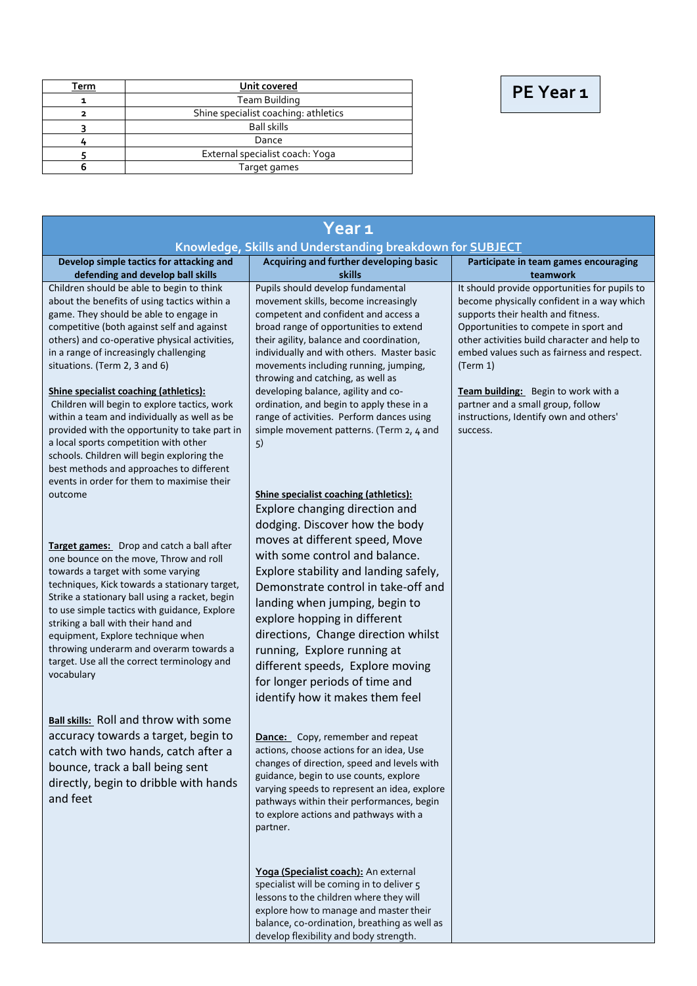|  | PE Year 1 |  |
|--|-----------|--|
|--|-----------|--|

| Term | Unit covered                         |  |
|------|--------------------------------------|--|
|      | Team Building                        |  |
|      | Shine specialist coaching: athletics |  |
|      | <b>Ball skills</b>                   |  |
|      | Dance                                |  |
|      | External specialist coach: Yoga      |  |
|      | Target games                         |  |

| Year <sub>1</sub><br>Knowledge, Skills and Understanding breakdown for SUBJECT                                                                                                                                                                                                                                                                                                                                                                                   |                                                                                                                                                                                                                                                                                                                                                                                                   |                                                                                                                                                                                                                                                                                      |  |
|------------------------------------------------------------------------------------------------------------------------------------------------------------------------------------------------------------------------------------------------------------------------------------------------------------------------------------------------------------------------------------------------------------------------------------------------------------------|---------------------------------------------------------------------------------------------------------------------------------------------------------------------------------------------------------------------------------------------------------------------------------------------------------------------------------------------------------------------------------------------------|--------------------------------------------------------------------------------------------------------------------------------------------------------------------------------------------------------------------------------------------------------------------------------------|--|
| Develop simple tactics for attacking and<br>defending and develop ball skills                                                                                                                                                                                                                                                                                                                                                                                    | Acquiring and further developing basic<br>skills                                                                                                                                                                                                                                                                                                                                                  | Participate in team games encouraging<br>teamwork                                                                                                                                                                                                                                    |  |
| Children should be able to begin to think<br>about the benefits of using tactics within a<br>game. They should be able to engage in<br>competitive (both against self and against<br>others) and co-operative physical activities,<br>in a range of increasingly challenging<br>situations. (Term 2, 3 and 6)                                                                                                                                                    | Pupils should develop fundamental<br>movement skills, become increasingly<br>competent and confident and access a<br>broad range of opportunities to extend<br>their agility, balance and coordination,<br>individually and with others. Master basic<br>movements including running, jumping,<br>throwing and catching, as well as                                                               | It should provide opportunities for pupils to<br>become physically confident in a way which<br>supports their health and fitness.<br>Opportunities to compete in sport and<br>other activities build character and help to<br>embed values such as fairness and respect.<br>(Term 1) |  |
| Shine specialist coaching (athletics):<br>Children will begin to explore tactics, work<br>within a team and individually as well as be<br>provided with the opportunity to take part in<br>a local sports competition with other<br>schools. Children will begin exploring the<br>best methods and approaches to different<br>events in order for them to maximise their<br>outcome                                                                              | developing balance, agility and co-<br>ordination, and begin to apply these in a<br>range of activities. Perform dances using<br>simple movement patterns. (Term 2, 4 and<br>5)<br>Shine specialist coaching (athletics):<br>Explore changing direction and<br>dodging. Discover how the body                                                                                                     | Team building: Begin to work with a<br>partner and a small group, follow<br>instructions, Identify own and others'<br>success.                                                                                                                                                       |  |
| Target games: Drop and catch a ball after<br>one bounce on the move, Throw and roll<br>towards a target with some varying<br>techniques, Kick towards a stationary target,<br>Strike a stationary ball using a racket, begin<br>to use simple tactics with guidance, Explore<br>striking a ball with their hand and<br>equipment, Explore technique when<br>throwing underarm and overarm towards a<br>target. Use all the correct terminology and<br>vocabulary | moves at different speed, Move<br>with some control and balance.<br>Explore stability and landing safely,<br>Demonstrate control in take-off and<br>landing when jumping, begin to<br>explore hopping in different<br>directions, Change direction whilst<br>running, Explore running at<br>different speeds, Explore moving<br>for longer periods of time and<br>identify how it makes them feel |                                                                                                                                                                                                                                                                                      |  |
| <b>Ball skills:</b> Roll and throw with some<br>accuracy towards a target, begin to<br>catch with two hands, catch after a<br>bounce, track a ball being sent<br>directly, begin to dribble with hands<br>and feet                                                                                                                                                                                                                                               | Dance: Copy, remember and repeat<br>actions, choose actions for an idea, Use<br>changes of direction, speed and levels with<br>guidance, begin to use counts, explore<br>varying speeds to represent an idea, explore<br>pathways within their performances, begin<br>to explore actions and pathways with a<br>partner.                                                                          |                                                                                                                                                                                                                                                                                      |  |
|                                                                                                                                                                                                                                                                                                                                                                                                                                                                  | Yoga (Specialist coach): An external<br>specialist will be coming in to deliver 5<br>lessons to the children where they will<br>explore how to manage and master their<br>balance, co-ordination, breathing as well as<br>develop flexibility and body strength.                                                                                                                                  |                                                                                                                                                                                                                                                                                      |  |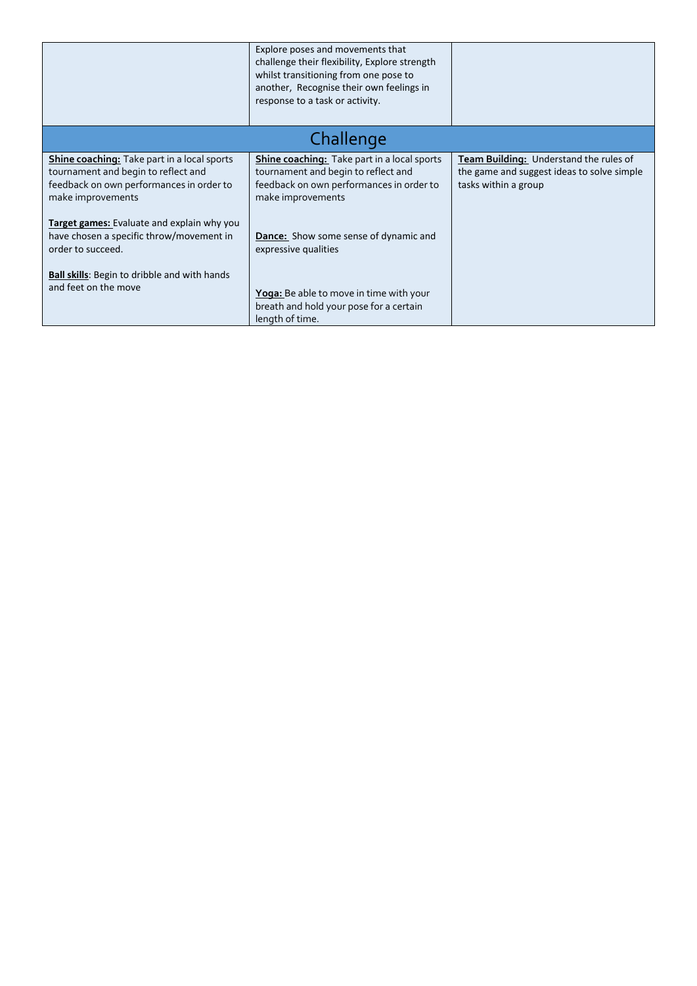|                                                                                                                                                                                                          | Explore poses and movements that<br>challenge their flexibility, Explore strength<br>whilst transitioning from one pose to<br>another, Recognise their own feelings in<br>response to a task or activity. |                                                                                                              |
|----------------------------------------------------------------------------------------------------------------------------------------------------------------------------------------------------------|-----------------------------------------------------------------------------------------------------------------------------------------------------------------------------------------------------------|--------------------------------------------------------------------------------------------------------------|
|                                                                                                                                                                                                          | Challenge                                                                                                                                                                                                 |                                                                                                              |
| <b>Shine coaching:</b> Take part in a local sports<br>tournament and begin to reflect and<br>feedback on own performances in order to<br>make improvements<br>Target games: Evaluate and explain why you | <b>Shine coaching:</b> Take part in a local sports<br>tournament and begin to reflect and<br>feedback on own performances in order to<br>make improvements                                                | Team Building: Understand the rules of<br>the game and suggest ideas to solve simple<br>tasks within a group |
| have chosen a specific throw/movement in<br>order to succeed.                                                                                                                                            | Dance: Show some sense of dynamic and<br>expressive qualities                                                                                                                                             |                                                                                                              |
| <b>Ball skills:</b> Begin to dribble and with hands<br>and feet on the move                                                                                                                              | <b>Yoga:</b> Be able to move in time with your<br>breath and hold your pose for a certain<br>length of time.                                                                                              |                                                                                                              |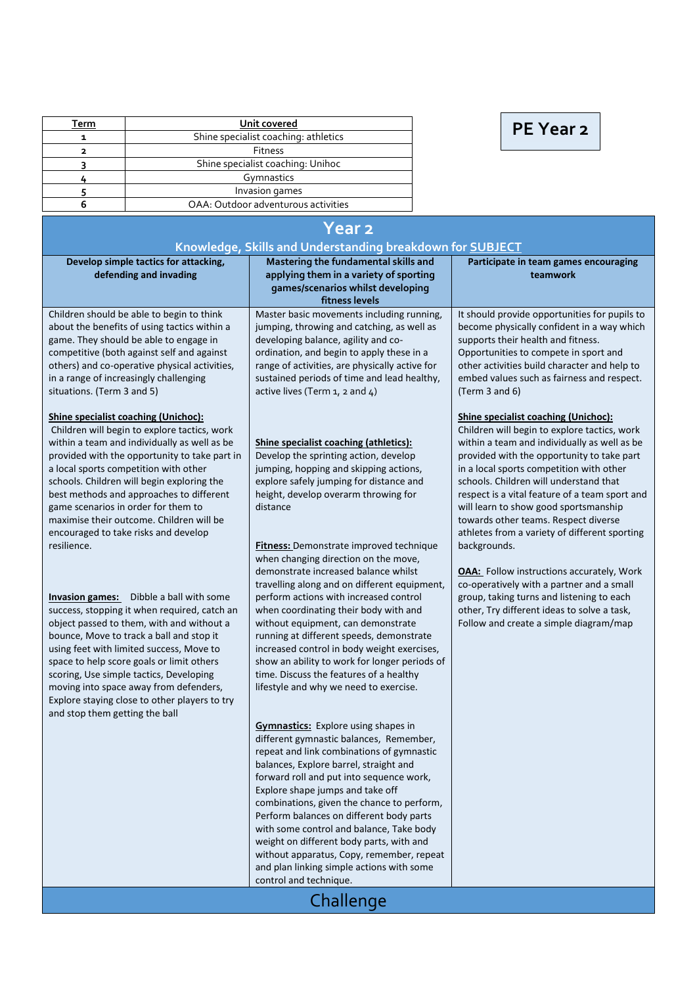| Term | Unit covered                         |  |
|------|--------------------------------------|--|
|      | Shine specialist coaching: athletics |  |
|      | <b>Fitness</b>                       |  |
|      | Shine specialist coaching: Unihoc    |  |
|      | Gymnastics                           |  |
|      | Invasion games                       |  |
|      | OAA: Outdoor adventurous activities  |  |

## **PE Year 2**

| <b>Year 2</b>                                                                                                                                                                                                                                                                                                                                                                                                                                            |                                                                                                                                                                                                                                                                                                                                                                                                                                                                                                                                                                    |                                                                                                                                                                                                                                                                                                                                                                                           |  |
|----------------------------------------------------------------------------------------------------------------------------------------------------------------------------------------------------------------------------------------------------------------------------------------------------------------------------------------------------------------------------------------------------------------------------------------------------------|--------------------------------------------------------------------------------------------------------------------------------------------------------------------------------------------------------------------------------------------------------------------------------------------------------------------------------------------------------------------------------------------------------------------------------------------------------------------------------------------------------------------------------------------------------------------|-------------------------------------------------------------------------------------------------------------------------------------------------------------------------------------------------------------------------------------------------------------------------------------------------------------------------------------------------------------------------------------------|--|
| Knowledge, Skills and Understanding breakdown for SUBJECT                                                                                                                                                                                                                                                                                                                                                                                                |                                                                                                                                                                                                                                                                                                                                                                                                                                                                                                                                                                    |                                                                                                                                                                                                                                                                                                                                                                                           |  |
| Develop simple tactics for attacking,<br>defending and invading                                                                                                                                                                                                                                                                                                                                                                                          | Mastering the fundamental skills and<br>applying them in a variety of sporting<br>games/scenarios whilst developing<br>fitness levels                                                                                                                                                                                                                                                                                                                                                                                                                              | Participate in team games encouraging<br>teamwork                                                                                                                                                                                                                                                                                                                                         |  |
| Children should be able to begin to think<br>about the benefits of using tactics within a<br>game. They should be able to engage in<br>competitive (both against self and against<br>others) and co-operative physical activities,<br>in a range of increasingly challenging<br>situations. (Term 3 and 5)<br><b>Shine specialist coaching (Unichoc):</b><br>Children will begin to explore tactics, work                                                | Master basic movements including running,<br>jumping, throwing and catching, as well as<br>developing balance, agility and co-<br>ordination, and begin to apply these in a<br>range of activities, are physically active for<br>sustained periods of time and lead healthy,<br>active lives (Term $1$ , 2 and $4$ )                                                                                                                                                                                                                                               | It should provide opportunities for pupils to<br>become physically confident in a way which<br>supports their health and fitness.<br>Opportunities to compete in sport and<br>other activities build character and help to<br>embed values such as fairness and respect.<br>(Term 3 and 6)<br><b>Shine specialist coaching (Unichoc):</b><br>Children will begin to explore tactics, work |  |
| within a team and individually as well as be<br>provided with the opportunity to take part in<br>a local sports competition with other<br>schools. Children will begin exploring the<br>best methods and approaches to different<br>game scenarios in order for them to<br>maximise their outcome. Children will be<br>encouraged to take risks and develop<br>resilience.                                                                               | Shine specialist coaching (athletics):<br>Develop the sprinting action, develop<br>jumping, hopping and skipping actions,<br>explore safely jumping for distance and<br>height, develop overarm throwing for<br>distance<br><b>Fitness:</b> Demonstrate improved technique                                                                                                                                                                                                                                                                                         | within a team and individually as well as be<br>provided with the opportunity to take part<br>in a local sports competition with other<br>schools. Children will understand that<br>respect is a vital feature of a team sport and<br>will learn to show good sportsmanship<br>towards other teams. Respect diverse<br>athletes from a variety of different sporting<br>backgrounds.      |  |
| <b>Invasion games:</b> Dibble a ball with some<br>success, stopping it when required, catch an<br>object passed to them, with and without a<br>bounce, Move to track a ball and stop it<br>using feet with limited success, Move to<br>space to help score goals or limit others<br>scoring, Use simple tactics, Developing<br>moving into space away from defenders,<br>Explore staying close to other players to try<br>and stop them getting the ball | when changing direction on the move,<br>demonstrate increased balance whilst<br>travelling along and on different equipment,<br>perform actions with increased control<br>when coordinating their body with and<br>without equipment, can demonstrate<br>running at different speeds, demonstrate<br>increased control in body weight exercises,<br>show an ability to work for longer periods of<br>time. Discuss the features of a healthy<br>lifestyle and why we need to exercise.                                                                             | <b>OAA:</b> Follow instructions accurately, Work<br>co-operatively with a partner and a small<br>group, taking turns and listening to each<br>other, Try different ideas to solve a task,<br>Follow and create a simple diagram/map                                                                                                                                                       |  |
|                                                                                                                                                                                                                                                                                                                                                                                                                                                          | <b>Gymnastics:</b> Explore using shapes in<br>different gymnastic balances, Remember,<br>repeat and link combinations of gymnastic<br>balances, Explore barrel, straight and<br>forward roll and put into sequence work,<br>Explore shape jumps and take off<br>combinations, given the chance to perform,<br>Perform balances on different body parts<br>with some control and balance, Take body<br>weight on different body parts, with and<br>without apparatus, Copy, remember, repeat<br>and plan linking simple actions with some<br>control and technique. |                                                                                                                                                                                                                                                                                                                                                                                           |  |
| Challenge                                                                                                                                                                                                                                                                                                                                                                                                                                                |                                                                                                                                                                                                                                                                                                                                                                                                                                                                                                                                                                    |                                                                                                                                                                                                                                                                                                                                                                                           |  |